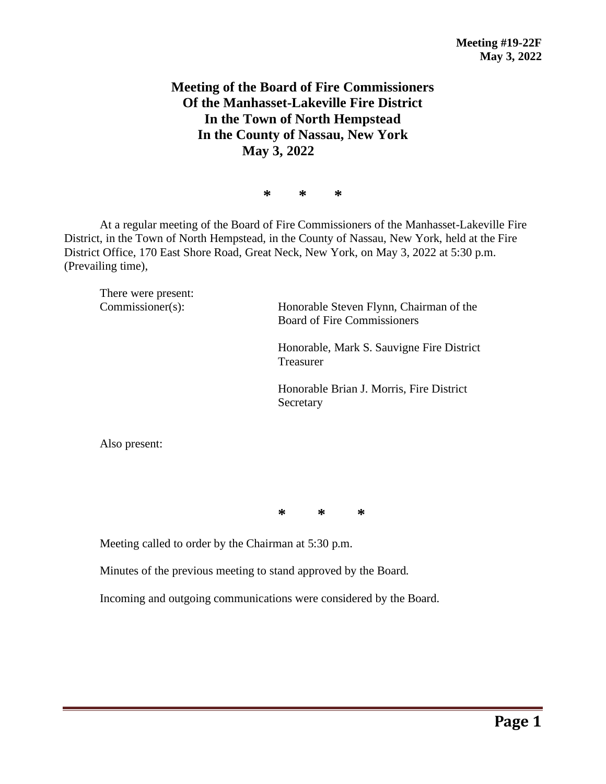## **Meeting of the Board of Fire Commissioners Of the Manhasset-Lakeville Fire District In the Town of North Hempstead In the County of Nassau, New York May 3, 2022**

**\* \* \***

At a regular meeting of the Board of Fire Commissioners of the Manhasset-Lakeville Fire District, in the Town of North Hempstead, in the County of Nassau, New York, held at the Fire District Office, 170 East Shore Road, Great Neck, New York, on May 3, 2022 at 5:30 p.m. (Prevailing time),

There were present:

Commissioner(s): Honorable Steven Flynn, Chairman of the Board of Fire Commissioners

> Honorable, Mark S. Sauvigne Fire District Treasurer

Honorable Brian J. Morris, Fire District Secretary

Also present:

**\* \* \***

Meeting called to order by the Chairman at 5:30 p.m.

Minutes of the previous meeting to stand approved by the Board.

Incoming and outgoing communications were considered by the Board.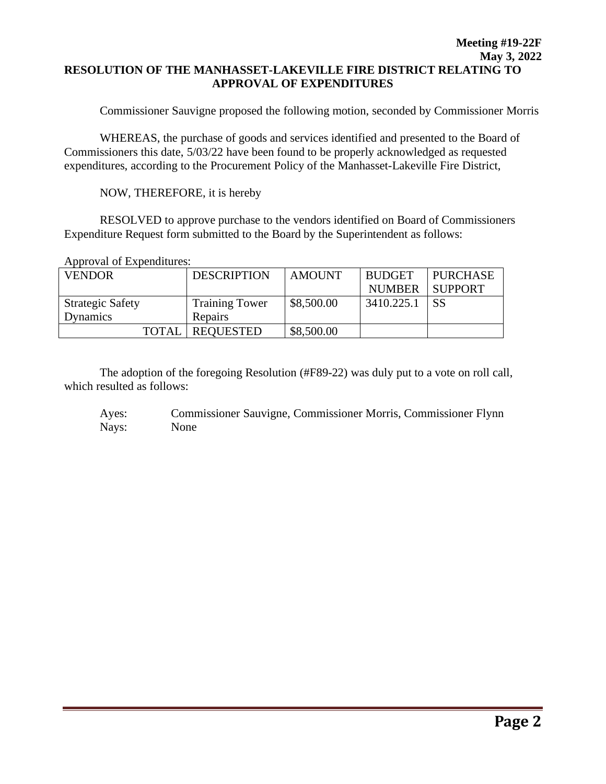## **Meeting #19-22F May 3, 2022 RESOLUTION OF THE MANHASSET-LAKEVILLE FIRE DISTRICT RELATING TO APPROVAL OF EXPENDITURES**

Commissioner Sauvigne proposed the following motion, seconded by Commissioner Morris

WHEREAS, the purchase of goods and services identified and presented to the Board of Commissioners this date, 5/03/22 have been found to be properly acknowledged as requested expenditures, according to the Procurement Policy of the Manhasset-Lakeville Fire District,

NOW, THEREFORE, it is hereby

RESOLVED to approve purchase to the vendors identified on Board of Commissioners Expenditure Request form submitted to the Board by the Superintendent as follows:

Approval of Expenditures:

| <b>VENDOR</b>           | <b>DESCRIPTION</b>    | <b>AMOUNT</b> | <b>BUDGET</b> | <b>PURCHASE</b> |
|-------------------------|-----------------------|---------------|---------------|-----------------|
|                         |                       |               | <b>NUMBER</b> | <b>SUPPORT</b>  |
| <b>Strategic Safety</b> | <b>Training Tower</b> | \$8,500.00    | 3410.225.1    | SS              |
| <b>Dynamics</b>         | <b>Repairs</b>        |               |               |                 |
| <b>TOTAL</b>            | <b>REQUESTED</b>      | \$8,500.00    |               |                 |

The adoption of the foregoing Resolution (#F89-22) was duly put to a vote on roll call, which resulted as follows:

Ayes: Commissioner Sauvigne, Commissioner Morris, Commissioner Flynn Nays: None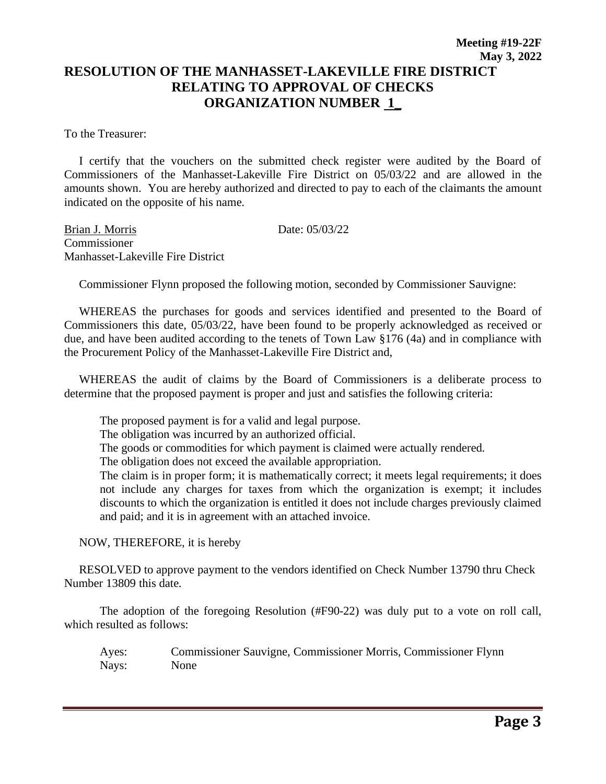To the Treasurer:

 I certify that the vouchers on the submitted check register were audited by the Board of Commissioners of the Manhasset-Lakeville Fire District on 05/03/22 and are allowed in the amounts shown. You are hereby authorized and directed to pay to each of the claimants the amount indicated on the opposite of his name.

Brian J. Morris Date: 05/03/22 **Commissioner** Manhasset-Lakeville Fire District

Commissioner Flynn proposed the following motion, seconded by Commissioner Sauvigne:

 WHEREAS the purchases for goods and services identified and presented to the Board of Commissioners this date, 05/03/22, have been found to be properly acknowledged as received or due, and have been audited according to the tenets of Town Law §176 (4a) and in compliance with the Procurement Policy of the Manhasset-Lakeville Fire District and,

 WHEREAS the audit of claims by the Board of Commissioners is a deliberate process to determine that the proposed payment is proper and just and satisfies the following criteria:

The proposed payment is for a valid and legal purpose.

The obligation was incurred by an authorized official.

The goods or commodities for which payment is claimed were actually rendered.

The obligation does not exceed the available appropriation.

The claim is in proper form; it is mathematically correct; it meets legal requirements; it does not include any charges for taxes from which the organization is exempt; it includes discounts to which the organization is entitled it does not include charges previously claimed and paid; and it is in agreement with an attached invoice.

NOW, THEREFORE, it is hereby

 RESOLVED to approve payment to the vendors identified on Check Number 13790 thru Check Number 13809 this date.

The adoption of the foregoing Resolution (#F90-22) was duly put to a vote on roll call, which resulted as follows:

Ayes: Commissioner Sauvigne, Commissioner Morris, Commissioner Flynn Nays: None